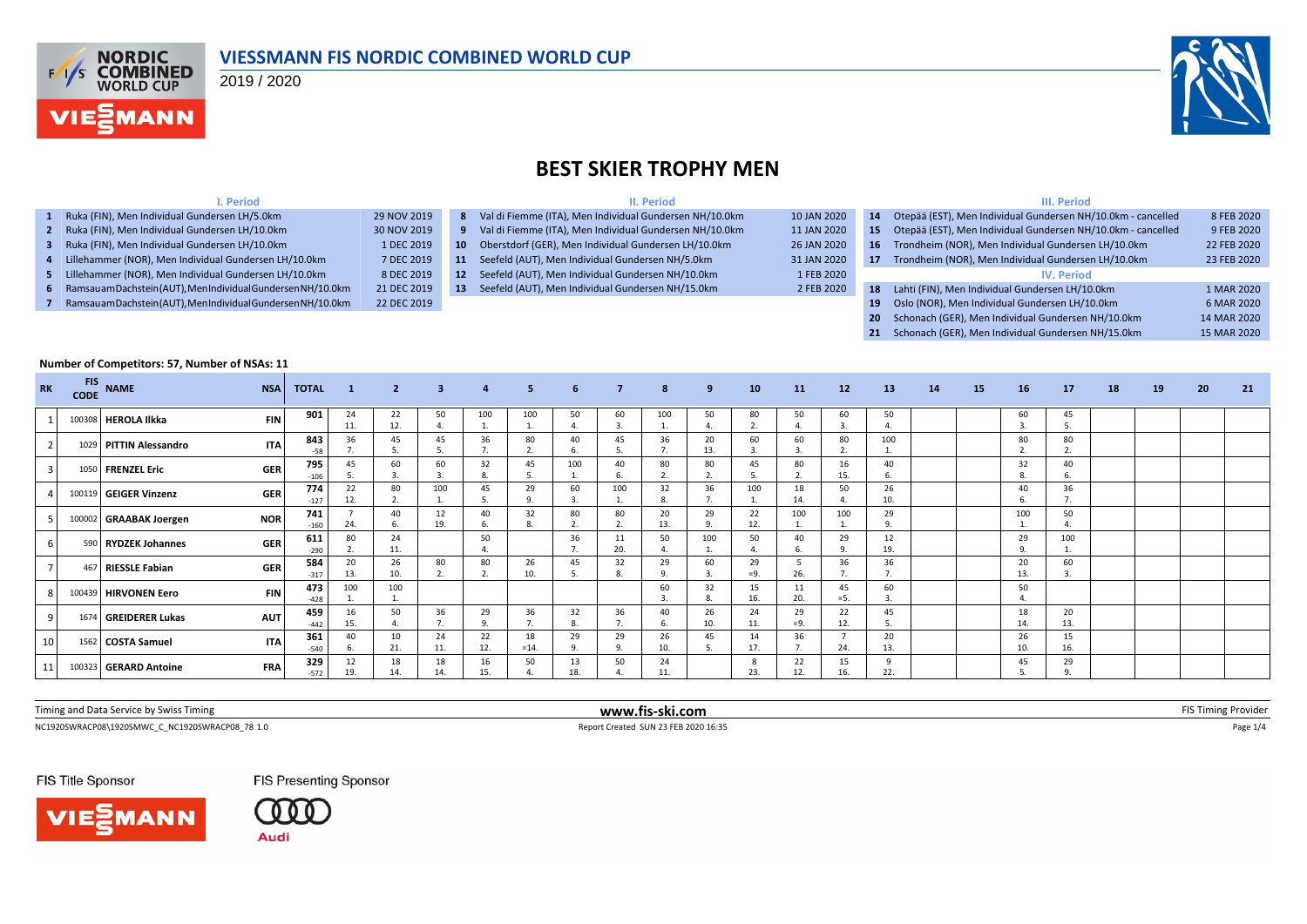

#### **VIESSMANN FIS NORDIC COMBINED WORLD CUP**

2019 / 2020

**I. Period**



## **BEST SKIER TROPHY MEN**

**II. Period**

|--|--|--|--|--|

| Ruka (FIN), Men Individual Gundersen LH/5.0km                 | 29 NOV 2019 |                 | 8 Val di Fiemme (ITA), Men Individual Gundersen NH/10.0km | 10 JAN 2020 | 14              | Otepää (EST), Men Individual Gundersen NH/10.0km - cancelled | 8 FEB 2020  |
|---------------------------------------------------------------|-------------|-----------------|-----------------------------------------------------------|-------------|-----------------|--------------------------------------------------------------|-------------|
| 2 Ruka (FIN), Men Individual Gundersen LH/10.0km              | 30 NOV 2019 |                 | Val di Fiemme (ITA), Men Individual Gundersen NH/10.0km   | 11 JAN 2020 | 15              | Otepää (EST), Men Individual Gundersen NH/10.0km - cancelled | 9 FEB 2020  |
| 3 Ruka (FIN), Men Individual Gundersen LH/10.0km              | 1 DEC 2019  | $10-10$         | Oberstdorf (GER), Men Individual Gundersen LH/10.0km      | 26 JAN 2020 | 16 <sup>1</sup> | Trondheim (NOR), Men Individual Gundersen LH/10.0km          | 22 FEB 2020 |
| 4 Lillehammer (NOR), Men Individual Gundersen LH/10.0km       | 7 DEC 2019  | 11              | Seefeld (AUT), Men Individual Gundersen NH/5.0km          | 31 JAN 2020 | 17              | Trondheim (NOR), Men Individual Gundersen LH/10.0km          | 23 FEB 2020 |
| 5 Lillehammer (NOR), Men Individual Gundersen LH/10.0km       | 8 DEC 2019  | 12 <sup>2</sup> | Seefeld (AUT), Men Individual Gundersen NH/10.0km         | 1 FEB 2020  |                 | <b>IV.</b> Period                                            |             |
| 6 Ramsauam Dachstein (AUT), MenIndividual Gundersen NH/10.0km | 21 DEC 2019 | <b>13</b>       | Seefeld (AUT), Men Individual Gundersen NH/15.0km         | 2 FEB 2020  | 18              | Lahti (FIN), Men Individual Gundersen LH/10.0km              | 1 MAR 2020  |
| Ramsauam Dachstein (AUT), Men Individual Gundersen NH/10.0km  | 22 DEC 2019 |                 |                                                           |             | 19              | Oslo (NOR), Men Individual Gundersen LH/10.0km               | 6 MAR 2020  |
|                                                               |             |                 |                                                           |             |                 | 20 Schonach (GER), Men Individual Gundersen NH/10.0km        | 14 MAR 2020 |

**21** Schonach (GER), Men Individual Gundersen NH/15.0km 15 MAR 2020

#### **Number of Competitors: 57, Number of NSAs: 11 RK FIS CODE NAME NSA TOTAL <sup>1</sup> <sup>2</sup> <sup>3</sup> <sup>4</sup> <sup>5</sup> <sup>6</sup> <sup>7</sup> <sup>8</sup> <sup>9</sup> <sup>10</sup> <sup>11</sup> <sup>12</sup> <sup>13</sup> <sup>14</sup> <sup>15</sup> <sup>16</sup> <sup>17</sup> <sup>18</sup> <sup>19</sup> <sup>20</sup> <sup>21</sup>** <sup>1</sup> <sup>100308</sup> **HEROLA Ilkka FIN <sup>901</sup>** <sup>24</sup>  $\frac{11.}{36}$ 22 12. 50 4. 100 1. 100 1. 50 4. 60 3. 100 1. 50 4. 80 2. 50 4. 60 3. 50 4. 60 3. 45 5. <sup>2</sup> <sup>1029</sup> **PITTIN Alessandro ITA <sup>843</sup>** <sup>36</sup> 7. 45 5. 45 5. 36 7. 80  $\overline{2}$ 40 6. 45 5. 36 7. 20 13. 60 3. 60 3. 80  $\overline{2}$ 100 1. 80 2.  $\begin{array}{c} 80 \\ 2. \end{array}$ -58 | 7. | 5. | 5. | 7. | 2. | 6. | 5. | 7. | 13. | 3. | 3. | 2. | 1. | | | 2. | 2. <sup>3</sup> <sup>1050</sup> **FRENZEL Eric GER <sup>795</sup>** <sup>45</sup> 5. 60 3. 60 3. 32 8. 45 5. 100 1. 40 6. 80 2. 80 2. 45 5. 80 2. 16 15. 40 6. 32 8.  $\begin{array}{c} 40 \\ 6. \end{array}$ -106 5. 3. 3. 8. 5. 1. 6. 2. 2. 5. 2. 15. 6. 1. <sup>4</sup> <sup>100119</sup> **GEIGER Vinzenz GER <sup>774</sup>** <sup>22</sup> 12. 80 2. 100 1. 45 5. 29 9. 60 3. 100 1. 32 8. 36 7. 100 1. 18 14. 50 4. 26 10. 40 6.  $36$ <br>7. 12. | 2. | 1. | 5. | 9. | 3. | 1. | 8. | 7. | 1. | 14. | 4. | 10. | | | | 6. | 7. <sup>5</sup> <sup>100002</sup> **GRAABAK Joergen NOR <sup>741</sup>** <sup>7</sup> 24. 40 6. 12 19. 40 6. 32 8. 80 2. 80 2. 20  $\frac{1}{13}$ 29 9. 22 12. 100 1. 100 1. 29 9. 100 1.  $\frac{50}{4}$ -160 24. | 6. | 19. | 6. | 8. | 2. | 2. | 13. | 9. | 12. | 1. | 1. | 9. | 1. | 1. | 4. <sup>6</sup> <sup>590</sup> **RYDZEK Johannes GER <sup>611</sup>** <sup>80</sup> 2. 24 11. 50 4. 36 7. 11 20. 50 4. 100 1. 50 4. 40 6. 29 9. 12 19. 29 9. 100 290 2. 11. 4. 4. 7. 20. 4. 1. 4. 6. 9. 19. 1. <sup>7</sup> <sup>467</sup> **RIESSLE Fabian GER <sup>584</sup>** <sup>20</sup> 13. 26 10. 80 2. 80  $\overline{2}$ 26 10. 45 5. 32 8. 29 9. 60  $\overline{3}$ 29  $=9.$ 5 26. 36 7. 36 7. 20 13.  $60$ <br>3. -317 13. 10. 2. 2. 10. 5. 8. 9. 3. = 9. 26. 7. 7. 1 1. 13. 3. 8 100439 **HIRVONEN Eero FIN**  $473 \begin{bmatrix} 473 \\ -428 \end{bmatrix}$  1.00 1. 100 1. 60 3. 32 8. 15 16. 11 20. 45  $=5$ 60 3. 50 -428 1. | 1. | | | | | | | 3. | 8. | 16. | 20. | =5. | 3. | | | 4. <sup>9</sup> <sup>1674</sup> **GREIDERER Lukas AUT <sup>459</sup>** <sup>16</sup> 15. 50 4. 36 7. 29 9. 36 7. 32 8. 36 7. 40 6. 26 10. 24 11. 29 =9. 22 12. 45 5. 18 14.  $20$ <br> $13.$ -442 | 15. | 4. | 7. | 9. | 7. | 8. | 7. | 6. | 10. | 11. | =9. | 12. | 5. | | | | 14. | 13. 10 1562 **COSTA Samuel 1TA** 361 40 6. 10 21. 24 11. 22 12. 18  $=14.$ 29 9. 29 9. 26 10. 45 5. 14 17. 36 7. 7  $24$ 20 13. 26 10.  $\frac{15}{16}$ -540 | 6. | 21. | 11. | 12. | =14. | 9. | 9. | 10. | 5. | 17. | 7. | 24. | 13. | | | | | 10. | 16. <sup>11</sup> <sup>100323</sup> **GERARD Antoine FRA <sup>329</sup>** <sup>12</sup> 19. 18 14. 18 14. 16 15. 50 4. 13 18. 50 4. 24 11. 8 23. 22 12. 15 16. 9 22. 45 5.  $\begin{array}{c} 29 \\ 9. \end{array}$ 19. | 14. | 14. | 15. | 4. | 18. | 4. | 11. | | | 23. | 12. | 16. | 22. | | | | | 5. | 9.

| Timing and Data Service by Swiss Timing                    | lis-ski.com<br>www.                | ווענ |
|------------------------------------------------------------|------------------------------------|------|
| NC1920SWRACP08\1920SMWCC<br>C NC1920SWRACP08 78 1.0<br>___ | 1 SUN 23 FEB 2020 16:35<br>Created |      |

FIS Title Sponsor

**FIS Presenting Sponsor** 



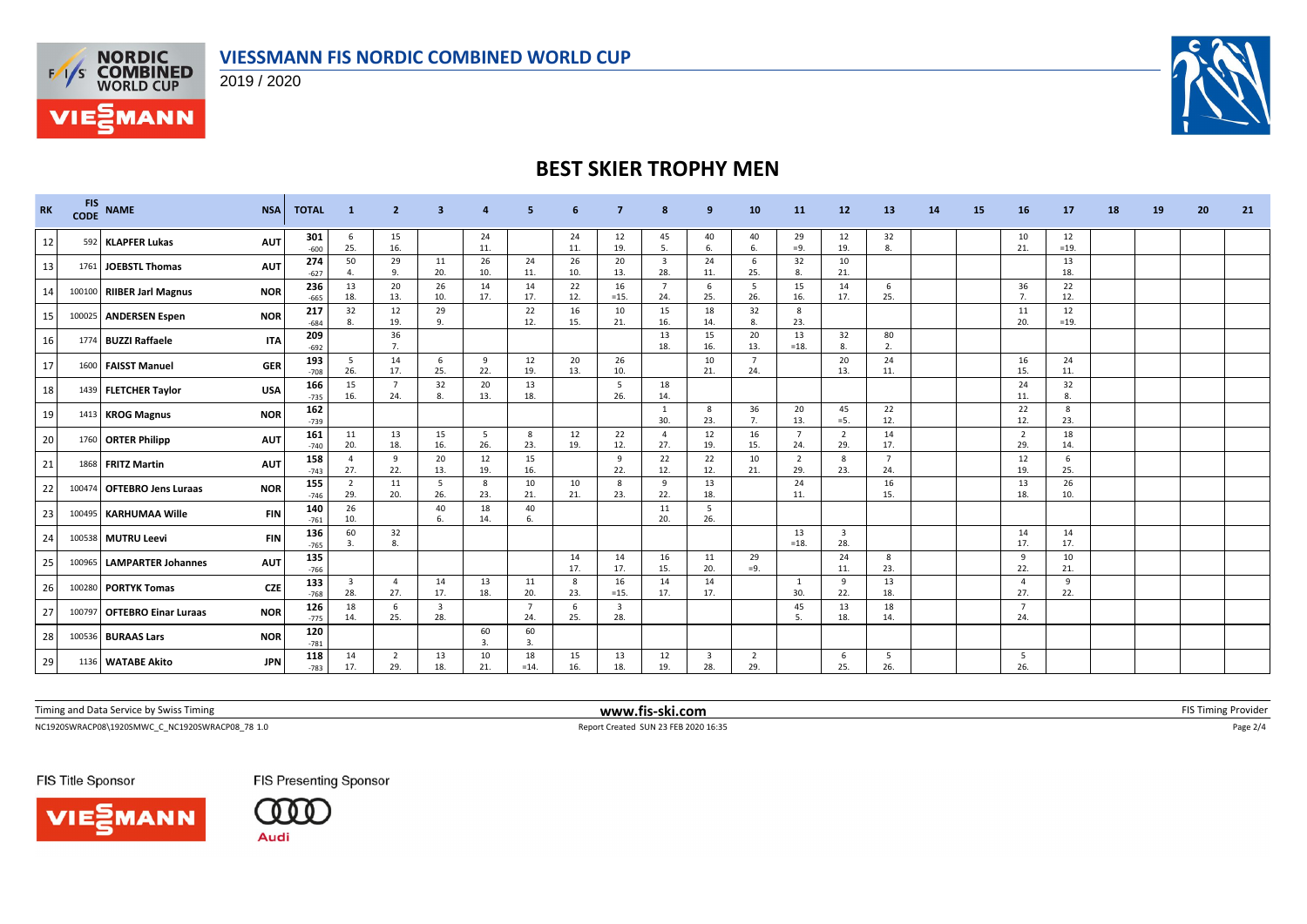### **VIESSMANN FIS NORDIC COMBINED WORLD CUP**



**FAS NORDIC<br>EXAS COMBINED**<br>WORLD CUP

**VIE***MANN* 

# **BEST SKIER TROPHY MEN**

| <b>RK</b> | <b>FIS</b><br><b>CODE</b> | <b>NAME</b>                              | <b>TOTAL</b><br><b>NSA</b>  | -1                    | -2                    | з                              |           |                        |            |                       | 8                              | 9                     | 10                    | 11                    | 12                             | 13                    | 14 | 15 | 16                    | 17           | 18 | 19 | 20 | 21 |
|-----------|---------------------------|------------------------------------------|-----------------------------|-----------------------|-----------------------|--------------------------------|-----------|------------------------|------------|-----------------------|--------------------------------|-----------------------|-----------------------|-----------------------|--------------------------------|-----------------------|----|----|-----------------------|--------------|----|----|----|----|
| 12        |                           | 592 KLAPFER Lukas<br><b>AUT</b>          | 301<br>$-600$               | 6<br>25.              | 15<br>16.             |                                | 24<br>11. |                        | 24<br>11.  | 12<br>19.             | 45<br>5.                       | 40<br>6.              | 40<br>-6.             | 29<br>$=9.$           | 12<br>19.                      | 32<br>8.              |    |    | 10<br>21.             | 12<br>$=19.$ |    |    |    |    |
| 13        |                           | 1761 JOEBSTL Thomas<br><b>AUT</b>        | 274<br>$-627$               | 50                    | 29<br>9.              | 11<br>20.                      | 26<br>10. | 24<br>11               | 26<br>10.  | 20<br>13.             | $\overline{\mathbf{3}}$<br>28. | 24<br>11.             | -6<br>25.             | 32<br>8.              | 10<br>21.                      |                       |    |    |                       | 13<br>18.    |    |    |    |    |
| 14        |                           | 100100 RIIBER Jarl Magnus<br><b>NOR</b>  | 236<br>$-665$               | 13<br>18.             | 20<br>13.             | 26<br>10.                      | 14<br>17. | 14<br>17.              | 22<br>12.  | 16<br>$=15.$          | $\overline{7}$<br>24.          | 6<br>25.              | 5<br>26.              | 15<br>16.             | 14<br>17.                      | - 6<br>25.            |    |    | 36<br>$\overline{7}$  | 22<br>12.    |    |    |    |    |
| 15        |                           | 100025 ANDERSEN Espen<br><b>NOR</b>      | 217<br>$-684$               | 32<br>8.              | 12<br>19.             | 29<br>9.                       |           | 22<br>12.              | 16<br>15.  | 10<br>21.             | 15<br>16.                      | 18<br>14.             | 32<br>8.              | 8<br>23.              |                                |                       |    |    | 11<br>20.             | 12<br>$=19.$ |    |    |    |    |
| 16        | 1774                      | <b>BUZZI Raffaele</b>                    | 209<br><b>ITA</b><br>$-692$ |                       | 36<br>7               |                                |           |                        |            |                       | 13<br>18.                      | 15<br>16.             | 20<br>13.             | 13<br>$=18.$          | 32<br>8.                       | 80<br>2.              |    |    |                       |              |    |    |    |    |
| 17        | 1600                      | <b>FAISST Manuel</b>                     | 193<br><b>GER</b><br>$-708$ | -5<br>26.             | 14<br>17.             | 6<br>25.                       | 9<br>22.  | 12<br>19.              | 20<br>13.  | 26<br>10.             |                                | 10<br>21.             | - 7<br>24.            |                       | 20<br>13.                      | 24<br>11.             |    |    | 16<br>15.             | 24<br>11.    |    |    |    |    |
| 18        |                           | 1439 FLETCHER Taylor                     | 166<br><b>USA</b><br>$-735$ | 15<br>16.             | $\overline{7}$<br>24. | 32<br>8.                       | 20<br>13. | 13<br>18.              |            | 5<br>26.              | 18<br>14.                      |                       |                       |                       |                                |                       |    |    | 24<br>11.             | 32<br>8.     |    |    |    |    |
| 19        |                           | 1413 KROG Magnus<br><b>NOR</b>           | 162<br>$-739$               |                       |                       |                                |           |                        |            |                       | - 1<br>30.                     | 8<br>23.              | 36<br>7.              | 20<br>13.             | 45<br>$= 5.$                   | 22<br>12.             |    |    | 22<br>12.             | 8<br>23.     |    |    |    |    |
| 20        |                           | 1760 ORTER Philipp                       | 161<br><b>AUT</b><br>$-740$ | 11<br>20.             | 13<br>18.             | 15<br>16.                      | 5<br>26.  | 8<br>23.               | 12<br>19.  | 22<br>12.             | $\overline{4}$<br>27.          | 12<br>19.             | 16<br>15.             | $\overline{7}$<br>24. | $\overline{2}$<br>29.          | 14<br>17.             |    |    | $\overline{2}$<br>29. | 18<br>14.    |    |    |    |    |
| 21        |                           | 1868 FRITZ Martin<br><b>AUT</b>          | 158<br>$-743$               | $\overline{4}$<br>27. | <sub>9</sub><br>22.   | 20<br>13.                      | 12<br>19. | 15<br>16.              |            | 9<br>22.              | 22<br>12.                      | 22<br>12.             | 10<br>21.             | $\overline{2}$<br>29. | 8<br>23.                       | $\overline{7}$<br>24. |    |    | 12<br>19.             | 6<br>25.     |    |    |    |    |
| 22        |                           | 100474 OFTEBRO Jens Luraas<br><b>NOR</b> | 155<br>$-746$               | $\overline{2}$<br>29. | 11<br>20.             | -5<br>26.                      | 8<br>23.  | 10<br>21.              | 10<br>21.  | 8<br>23.              | 9<br>22.                       | 13<br>18.             |                       | 24<br>11.             |                                | 16<br>15.             |    |    | 13<br>18.             | 26<br>10.    |    |    |    |    |
| 23        | 100495                    | <b>KARHUMAA Wille</b>                    | 140<br><b>FIN</b><br>$-761$ | 26<br>10.             |                       | 40<br>6.                       | 18<br>14. | 40<br>-6.              |            |                       | 11<br>20.                      | 5<br>26.              |                       |                       |                                |                       |    |    |                       |              |    |    |    |    |
| 24        |                           | 100538 MUTRU Leevi                       | 136<br><b>FIN</b><br>$-765$ | 60<br>3.              | 32<br>8               |                                |           |                        |            |                       |                                |                       |                       | 13<br>$=18.$          | $\overline{\mathbf{3}}$<br>28. |                       |    |    | 14<br>17.             | 14<br>17.    |    |    |    |    |
| 25        | 100965                    | <b>LAMPARTER Johannes</b>                | 135<br><b>AUT</b><br>$-766$ |                       |                       |                                |           |                        | 14<br>17.  | 14<br>17.             | 16<br>15.                      | 11<br>20.             | 29<br>$=9.$           |                       | 24<br>11.                      | 8<br>23.              |    |    | 9<br>22.              | 10<br>21.    |    |    |    |    |
| 26        | 100280                    | <b>PORTYK Tomas</b>                      | 133<br><b>CZE</b><br>$-768$ | 3<br>28.              | -4<br>27.             | 14<br>17.                      | 13<br>18. | 11<br>20.              | - 8<br>23. | 16<br>$=15.$          | 14<br>17.                      | 14<br>17.             |                       | -1<br>30.             | -9<br>22.                      | 13<br>18.             |    |    | -4<br>27.             | -9<br>22.    |    |    |    |    |
| 27        |                           | 100797 OFTEBRO Einar Luraas              | 126<br><b>NOR</b><br>$-775$ | 18<br>14.             | 6<br>25.              | $\overline{\mathbf{3}}$<br>28. |           | 24.                    | 6<br>25.   | $\overline{3}$<br>28. |                                |                       |                       | 45<br>5.              | 13<br>18.                      | 18<br>14.             |    |    | $\overline{7}$<br>24. |              |    |    |    |    |
| 28        |                           | 100536 BURAAS Lars<br><b>NOR</b>         | 120<br>$-781$               |                       |                       |                                | 60<br>3.  | 60<br>$\overline{3}$ . |            |                       |                                |                       |                       |                       |                                |                       |    |    |                       |              |    |    |    |    |
| 29        |                           | 1136 WATABE Akito                        | 118<br><b>JPN</b><br>$-783$ | 14<br>17.             | $\overline{2}$<br>29. | 13<br>18.                      | 10<br>21. | 18<br>$=14.$           | 15<br>16.  | 13<br>18.             | 12<br>19.                      | $\overline{3}$<br>28. | $\overline{2}$<br>29. |                       | 6<br>25.                       | - 5<br>26.            |    |    | -5<br>26.             |              |    |    |    |    |

Timing and Data Service by Swiss Timing **EXTIMING 2008 WWW.fis-ski.com WWW.fis-ski.com** FIS Timing Provider

 $\footnotesize \textsf{Report Credit SUN 23 FEB 2020 16:35} \footnotesize \textsf{Page 2/4} \footnotesize \textsf{Page 2/4} \footnotesize \textsf{Page 2/4} \footnotesize \textsf{Page 2/4} \footnotesize \textsf{Page 2/4} \footnotesize \textsf{Page 2/4} \footnotesize \textsf{Page 2/4} \footnotesize \textsf{Page 2/4} \footnotesize \textsf{Page 2/4} \footnotesize \textsf{Page 2/4} \footnotesize \textsf{Page 2/4} \footnotesize \textsf{Page 2/4} \footnotesize \textsf{Page$ 

FIS Title Sponsor

VIESMANN



**FIS Presenting Sponsor**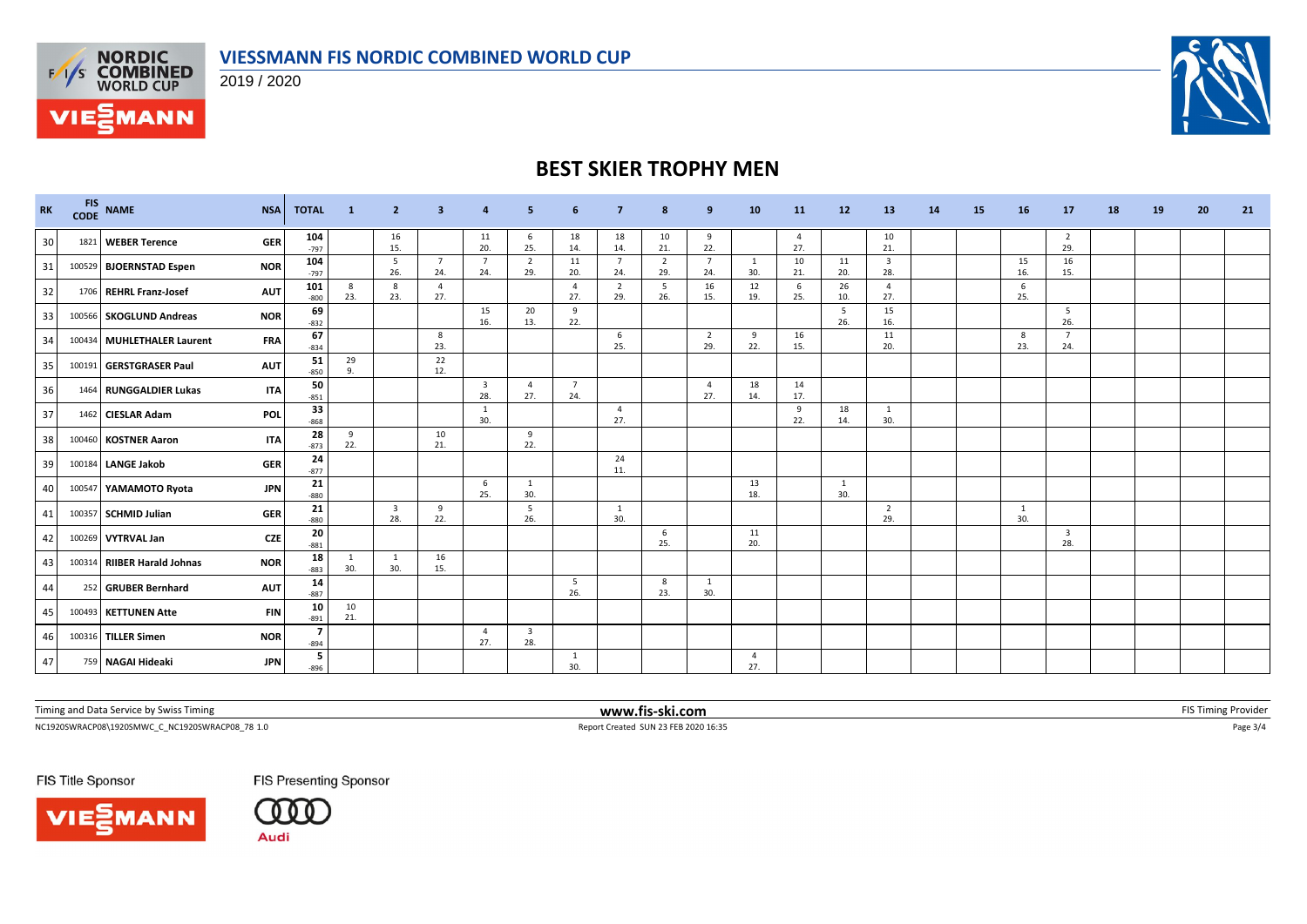



**FAS NORDIC<br>EXAS COMBINED**<br>WORLD CUP

**VIE***MANN* 



## **BEST SKIER TROPHY MEN**

| <b>RK</b> | <b>FIS</b><br><b>CODE</b> | <b>NAME</b>                 | <b>NSA</b> | <b>TOTAL</b>  | -1        | $\mathbf{2}$                   | 3                     | $\overline{a}$                 | 5                              | 6                     |                       | 8                     | 9                     | 10        | <b>11</b>             | 12         | 13                    | 14 | 15 | 16        | 17                             | 18 | 19 | 20 | 21 |
|-----------|---------------------------|-----------------------------|------------|---------------|-----------|--------------------------------|-----------------------|--------------------------------|--------------------------------|-----------------------|-----------------------|-----------------------|-----------------------|-----------|-----------------------|------------|-----------------------|----|----|-----------|--------------------------------|----|----|----|----|
| 30        |                           | 1821 WEBER Terence          | <b>GER</b> | 104<br>$-797$ |           | 16<br>15.                      |                       | 11<br>20.                      | -6<br>25.                      | 18<br>14.             | 18<br>14.             | 10<br>21.             | 9<br>22.              |           | $\overline{4}$<br>27. |            | 10<br>21.             |    |    |           | $\overline{2}$<br>29.          |    |    |    |    |
| 31        |                           | 100529 BJOERNSTAD Espen     | <b>NOR</b> | 104<br>$-797$ |           | - 5<br>26.                     | $\overline{7}$<br>24. | $\overline{7}$<br>24.          | $\overline{2}$<br>29.          | 11<br>20.             | $\overline{7}$<br>24. | $\overline{2}$<br>29. | - 7<br>24.            | -1<br>30. | 10<br>21.             | 11<br>20.  | 3<br>28.              |    |    | 15<br>16. | 16<br>15.                      |    |    |    |    |
| 32        |                           | 1706 REHRL Franz-Josef      | <b>AUT</b> | 101<br>$-800$ | 8<br>23.  | 8<br>23.                       | - 4<br>27.            |                                |                                | 4<br>27.              | $\overline{2}$<br>29. | 5<br>26.              | 16<br>15.             | 12<br>19. | 6<br>25.              | 26<br>10.  | $\overline{4}$<br>27. |    |    | 6<br>25.  |                                |    |    |    |    |
| 33        |                           | 100566 SKOGLUND Andreas     | <b>NOR</b> | 69<br>$-832$  |           |                                |                       | 15<br>16.                      | 20<br>13.                      | 9<br>22.              |                       |                       |                       |           |                       | - 5<br>26. | 15<br>16.             |    |    |           | 5<br>26.                       |    |    |    |    |
| 34        |                           | 100434 MUHLETHALER Laurent  | <b>FRA</b> | 67<br>$-834$  |           |                                | 8<br>23.              |                                |                                |                       | 6<br>25.              |                       | $\overline{2}$<br>29. | 9<br>22.  | 16<br>15.             |            | 11<br>20.             |    |    | 8<br>23.  | $\overline{7}$<br>24.          |    |    |    |    |
| 35        |                           | 100191 GERSTGRASER Paul     | <b>AUT</b> | 51<br>$-850$  | 29<br>9.  |                                | 22<br>12.             |                                |                                |                       |                       |                       |                       |           |                       |            |                       |    |    |           |                                |    |    |    |    |
| 36        |                           | 1464 RUNGGALDIER Lukas      | <b>ITA</b> | 50<br>$-851$  |           |                                |                       | $\overline{\mathbf{3}}$<br>28. | $\overline{4}$<br>27.          | $\overline{7}$<br>24. |                       |                       | $\overline{4}$<br>27. | 18<br>14. | 14<br>17.             |            |                       |    |    |           |                                |    |    |    |    |
| 37        |                           | 1462 CIESLAR Adam           | <b>POL</b> | 33<br>$-868$  |           |                                |                       | $\mathbf{1}$<br>30.            |                                |                       | $\overline{4}$<br>27. |                       |                       |           | 9<br>22.              | 18<br>14.  | -1<br>30.             |    |    |           |                                |    |    |    |    |
| 38        |                           | 100460 KOSTNER Aaron        | <b>ITA</b> | 28<br>$-873$  | 9<br>22.  |                                | 10<br>21.             |                                | 9<br>22.                       |                       |                       |                       |                       |           |                       |            |                       |    |    |           |                                |    |    |    |    |
| 39        |                           | 100184 LANGE Jakob          | <b>GER</b> | 24<br>$-877$  |           |                                |                       |                                |                                |                       | 24<br>11.             |                       |                       |           |                       |            |                       |    |    |           |                                |    |    |    |    |
| 40        |                           | 100547 YAMAMOTO Ryota       | <b>JPN</b> | 21<br>$-880$  |           |                                |                       | 6<br>25.                       | 1<br>30.                       |                       |                       |                       |                       | 13<br>18. |                       | -1<br>30.  |                       |    |    |           |                                |    |    |    |    |
| 41        |                           | 100357 SCHMID Julian        | <b>GER</b> | 21<br>$-880$  |           | $\overline{\mathbf{3}}$<br>28. | 9<br>22.              |                                | - 5<br>26.                     |                       | 1<br>30.              |                       |                       |           |                       |            | $\overline{2}$<br>29. |    |    | -1<br>30. |                                |    |    |    |    |
| 42        |                           | 100269 VYTRVAL Jan          | <b>CZE</b> | 20<br>$-881$  |           |                                |                       |                                |                                |                       |                       | -6<br>25.             |                       | 11<br>20. |                       |            |                       |    |    |           | $\overline{\mathbf{3}}$<br>28. |    |    |    |    |
| 43        |                           | 100314 RIIBER Harald Johnas | <b>NOR</b> | 18<br>$-883$  | 1<br>30.  | 1<br>30.                       | 16<br>15.             |                                |                                |                       |                       |                       |                       |           |                       |            |                       |    |    |           |                                |    |    |    |    |
| 44        |                           | 252 GRUBER Bernhard         | <b>AUT</b> | 14<br>$-887$  |           |                                |                       |                                |                                | 5<br>26.              |                       | 8<br>23.              | $\mathbf{1}$<br>30.   |           |                       |            |                       |    |    |           |                                |    |    |    |    |
| 45        |                           | 100493 KETTUNEN Atte        | <b>FIN</b> | 10<br>$-891$  | 10<br>21. |                                |                       |                                |                                |                       |                       |                       |                       |           |                       |            |                       |    |    |           |                                |    |    |    |    |
| 46        |                           | 100316 TILLER Simen         | <b>NOR</b> | 7<br>$-894$   |           |                                |                       | $\overline{4}$<br>27.          | $\overline{\mathbf{3}}$<br>28. |                       |                       |                       |                       |           |                       |            |                       |    |    |           |                                |    |    |    |    |
| 47        |                           | 759 NAGAI Hideaki           | <b>JPN</b> | 5<br>$-896$   |           |                                |                       |                                |                                | -1<br>30.             |                       |                       |                       | -4<br>27. |                       |            |                       |    |    |           |                                |    |    |    |    |

Timing and Data Service by Swiss Timing **EXTIMING 2008 WWW.fis-ski.com WWW.fis-ski.com** FIS Timing Provider

NC1920SWRACP08\1920SMWC\_C\_NC1920SWRACP08\_78 1.0 Report Created SUN 23 FEB 2020 16:35 Page 3/4

FIS Title Sponsor





**FIS Presenting Sponsor**